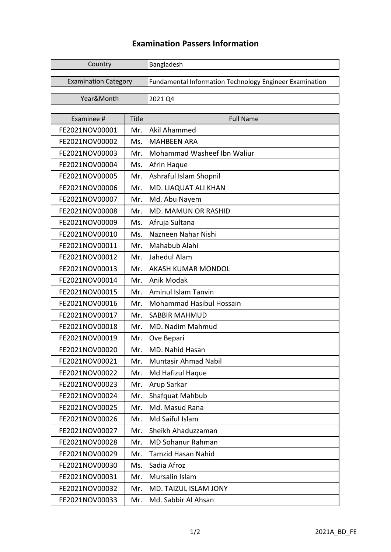## **Examination Passers Information**

| Country                     |              | Bangladesh                                                     |
|-----------------------------|--------------|----------------------------------------------------------------|
| <b>Examination Category</b> |              | <b>Fundamental Information Technology Engineer Examination</b> |
| Year&Month                  |              | 2021 Q4                                                        |
|                             |              |                                                                |
| Examinee #                  | <b>Title</b> | <b>Full Name</b>                                               |
| FE2021NOV00001              | Mr.          | <b>Akil Ahammed</b>                                            |
| FE2021NOV00002              | Ms.          | <b>MAHBEEN ARA</b>                                             |
| FE2021NOV00003              | Mr.          | Mohammad Washeef Ibn Waliur                                    |
| FE2021NOV00004              | Ms.          | Afrin Haque                                                    |
| FE2021NOV00005              | Mr.          | Ashraful Islam Shopnil                                         |
| FE2021NOV00006              | Mr.          | MD. LIAQUAT ALI KHAN                                           |
| FE2021NOV00007              | Mr.          | Md. Abu Nayem                                                  |
| FE2021NOV00008              | Mr.          | <b>MD. MAMUN OR RASHID</b>                                     |
| FE2021NOV00009              | Ms.          | Afruja Sultana                                                 |
| FE2021NOV00010              | Ms.          | Nazneen Nahar Nishi                                            |
| FE2021NOV00011              | Mr.          | Mahabub Alahi                                                  |
| FE2021NOV00012              | Mr.          | Jahedul Alam                                                   |
| FE2021NOV00013              | Mr.          | AKASH KUMAR MONDOL                                             |
| FE2021NOV00014              | Mr.          | Anik Modak                                                     |
| FE2021NOV00015              | Mr.          | <b>Aminul Islam Tanvin</b>                                     |
| FE2021NOV00016              | Mr.          | <b>Mohammad Hasibul Hossain</b>                                |
| FE2021NOV00017              | Mr.          | <b>SABBIR MAHMUD</b>                                           |
| FE2021NOV00018              | Mr.          | MD. Nadim Mahmud                                               |
| FE2021NOV00019              | Mr.          | Ove Bepari                                                     |
| FE2021NOV00020              | Mr.          | MD. Nahid Hasan                                                |
| FE2021NOV00021              | Mr.          | Muntasir Ahmad Nabil                                           |
| FE2021NOV00022              | Mr.          | Md Hafizul Haque                                               |
| FE2021NOV00023              | Mr.          | Arup Sarkar                                                    |
| FE2021NOV00024              | Mr.          | Shafquat Mahbub                                                |
| FE2021NOV00025              | Mr.          | Md. Masud Rana                                                 |
| FE2021NOV00026              | Mr.          | Md Saiful Islam                                                |
| FE2021NOV00027              | Mr.          | Sheikh Ahaduzzaman                                             |
| FE2021NOV00028              | Mr.          | <b>MD Sohanur Rahman</b>                                       |
| FE2021NOV00029              | Mr.          | Tamzid Hasan Nahid                                             |
| FE2021NOV00030              | Ms.          | Sadia Afroz                                                    |
| FE2021NOV00031              | Mr.          | Mursalin Islam                                                 |
| FE2021NOV00032              | Mr.          | MD. TAIZUL ISLAM JONY                                          |
| FE2021NOV00033              | Mr.          | Md. Sabbir Al Ahsan                                            |